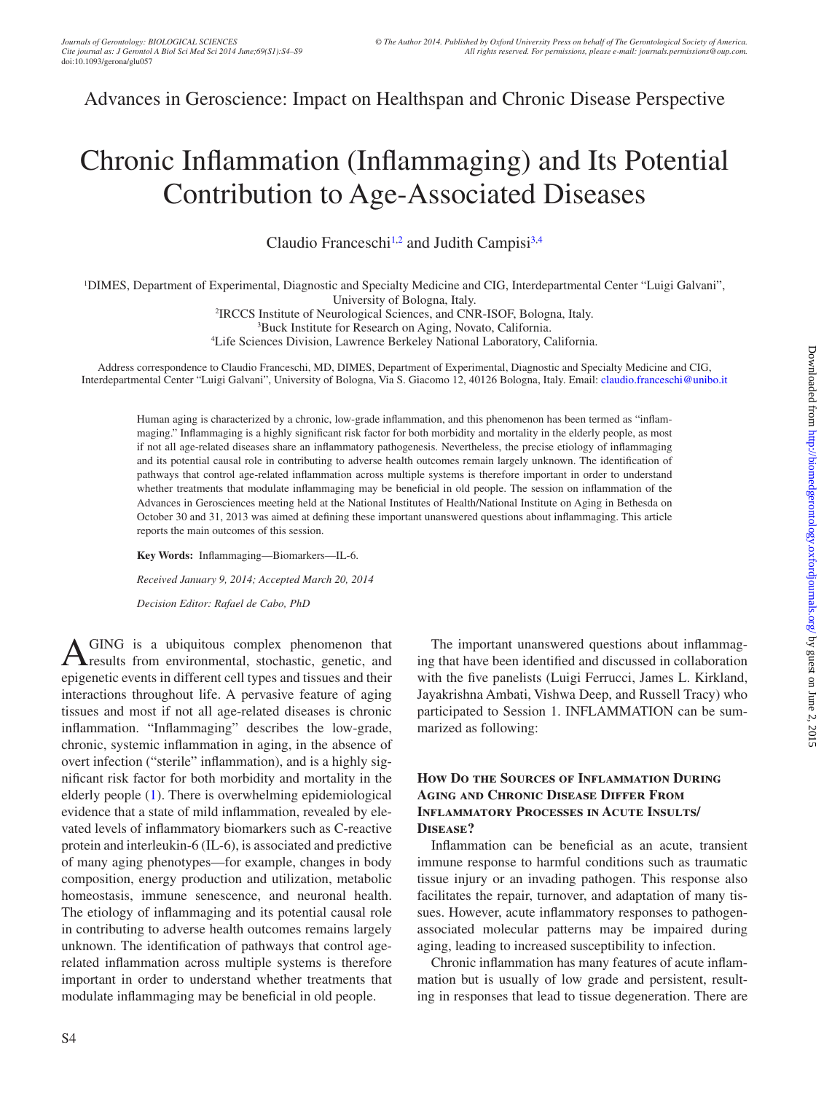Advances in Geroscience: Impact on Healthspan and Chronic Disease Perspective

# Chronic Inflammation (Inflammaging) and Its Potential Contribution to Age-Associated Diseases

<span id="page-0-3"></span><span id="page-0-2"></span><span id="page-0-1"></span>Claudio Franceschi<sup>[1](#page-0-0),[2](#page-0-1)</sup> and Judith Campisi<sup>3[,4](#page-0-3)</sup>

<span id="page-0-0"></span>1 DIMES, Department of Experimental, Diagnostic and Specialty Medicine and CIG, Interdepartmental Center "Luigi Galvani", University of Bologna, Italy.

> 2 IRCCS Institute of Neurological Sciences, and CNR-ISOF, Bologna, Italy. 3 Buck Institute for Research on Aging, Novato, California. 4 Life Sciences Division, Lawrence Berkeley National Laboratory, California.

Address correspondence to Claudio Franceschi, MD, DIMES, Department of Experimental, Diagnostic and Specialty Medicine and CIG, Interdepartmental Center "Luigi Galvani", University of Bologna, Via S. Giacomo 12, 40126 Bologna, Italy. Email: [claudio.franceschi@unibo.it](mailto:claudio.franceschi@unibo.it?subject=)

Human aging is characterized by a chronic, low-grade inflammation, and this phenomenon has been termed as "inflammaging." Inflammaging is a highly significant risk factor for both morbidity and mortality in the elderly people, as most if not all age-related diseases share an inflammatory pathogenesis. Nevertheless, the precise etiology of inflammaging and its potential causal role in contributing to adverse health outcomes remain largely unknown. The identification of pathways that control age-related inflammation across multiple systems is therefore important in order to understand whether treatments that modulate inflammaging may be beneficial in old people. The session on inflammation of the Advances in Gerosciences meeting held at the National Institutes of Health/National Institute on Aging in Bethesda on October 30 and 31, 2013 was aimed at defining these important unanswered questions about inflammaging. This article reports the main outcomes of this session.

**Key Words:** Inflammaging—Biomarkers—IL-6. *Received January 9, 2014; Accepted March 20, 2014 Decision Editor: Rafael de Cabo, PhD*

AGING is a ubiquitous complex phenomenon that results from environmental, stochastic, genetic, and epigenetic events in different cell types and tissues and their interactions throughout life. A pervasive feature of aging tissues and most if not all age-related diseases is chronic inflammation. "Inflammaging" describes the low-grade, chronic, systemic inflammation in aging, in the absence of overt infection ("sterile" inflammation), and is a highly significant risk factor for both morbidity and mortality in the elderly people [\(1](#page-4-0)). There is overwhelming epidemiological evidence that a state of mild inflammation, revealed by elevated levels of inflammatory biomarkers such as C-reactive protein and interleukin-6 (IL-6), is associated and predictive of many aging phenotypes—for example, changes in body composition, energy production and utilization, metabolic homeostasis, immune senescence, and neuronal health. The etiology of inflammaging and its potential causal role in contributing to adverse health outcomes remains largely unknown. The identification of pathways that control agerelated inflammation across multiple systems is therefore important in order to understand whether treatments that modulate inflammaging may be beneficial in old people.

The important unanswered questions about inflammaging that have been identified and discussed in collaboration with the five panelists (Luigi Ferrucci, James L. Kirkland, Jayakrishna Ambati, Vishwa Deep, and Russell Tracy) who participated to Session 1. INFLAMMATION can be summarized as following:

## **How Do the Sources of Inflammation During Aging and Chronic Disease Differ From Inflammatory Processes in Acute Insults/ Disease?**

Inflammation can be beneficial as an acute, transient immune response to harmful conditions such as traumatic tissue injury or an invading pathogen. This response also facilitates the repair, turnover, and adaptation of many tissues. However, acute inflammatory responses to pathogenassociated molecular patterns may be impaired during aging, leading to increased susceptibility to infection.

Chronic inflammation has many features of acute inflammation but is usually of low grade and persistent, resulting in responses that lead to tissue degeneration. There are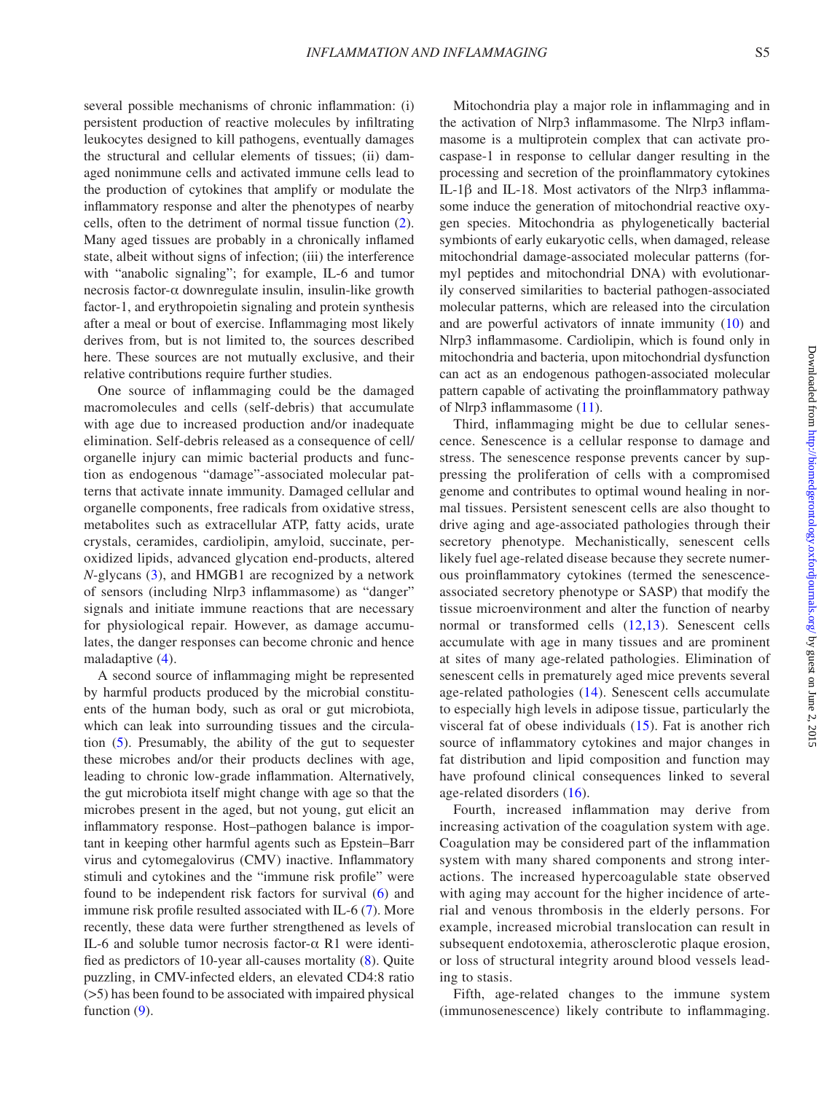several possible mechanisms of chronic inflammation: (i) persistent production of reactive molecules by infiltrating leukocytes designed to kill pathogens, eventually damages the structural and cellular elements of tissues; (ii) damaged nonimmune cells and activated immune cells lead to the production of cytokines that amplify or modulate the inflammatory response and alter the phenotypes of nearby cells, often to the detriment of normal tissue function ([2\)](#page-4-1). Many aged tissues are probably in a chronically inflamed state, albeit without signs of infection; (iii) the interference with "anabolic signaling"; for example, IL-6 and tumor necrosis factor-α downregulate insulin, insulin-like growth factor-1, and erythropoietin signaling and protein synthesis after a meal or bout of exercise. Inflammaging most likely derives from, but is not limited to, the sources described here. These sources are not mutually exclusive, and their relative contributions require further studies.

One source of inflammaging could be the damaged macromolecules and cells (self-debris) that accumulate with age due to increased production and/or inadequate elimination. Self-debris released as a consequence of cell/ organelle injury can mimic bacterial products and function as endogenous "damage"-associated molecular patterns that activate innate immunity. Damaged cellular and organelle components, free radicals from oxidative stress, metabolites such as extracellular ATP, fatty acids, urate crystals, ceramides, cardiolipin, amyloid, succinate, peroxidized lipids, advanced glycation end-products, altered *N*-glycans ([3](#page-4-2)), and HMGB1 are recognized by a network of sensors (including Nlrp3 inflammasome) as "danger" signals and initiate immune reactions that are necessary for physiological repair. However, as damage accumulates, the danger responses can become chronic and hence maladaptive ([4\)](#page-4-3).

A second source of inflammaging might be represented by harmful products produced by the microbial constituents of the human body, such as oral or gut microbiota, which can leak into surrounding tissues and the circulation ([5\)](#page-4-4). Presumably, the ability of the gut to sequester these microbes and/or their products declines with age, leading to chronic low-grade inflammation. Alternatively, the gut microbiota itself might change with age so that the microbes present in the aged, but not young, gut elicit an inflammatory response. Host–pathogen balance is important in keeping other harmful agents such as Epstein–Barr virus and cytomegalovirus (CMV) inactive. Inflammatory stimuli and cytokines and the "immune risk profile" were found to be independent risk factors for survival ([6\)](#page-4-5) and immune risk profile resulted associated with IL-6 ([7\)](#page-4-6). More recently, these data were further strengthened as levels of IL-6 and soluble tumor necrosis factor-α R1 were identified as predictors of 10-year all-causes mortality ([8\)](#page-4-7). Quite puzzling, in CMV-infected elders, an elevated CD4:8 ratio (>5) has been found to be associated with impaired physical function  $(9)$  $(9)$ .

Mitochondria play a major role in inflammaging and in the activation of Nlrp3 inflammasome. The Nlrp3 inflammasome is a multiprotein complex that can activate procaspase-1 in response to cellular danger resulting in the processing and secretion of the proinflammatory cytokines IL-1β and IL-18. Most activators of the Nlrp3 inflammasome induce the generation of mitochondrial reactive oxygen species. Mitochondria as phylogenetically bacterial symbionts of early eukaryotic cells, when damaged, release mitochondrial damage-associated molecular patterns (formyl peptides and mitochondrial DNA) with evolutionarily conserved similarities to bacterial pathogen-associated molecular patterns, which are released into the circulation and are powerful activators of innate immunity [\(10](#page-5-0)) and Nlrp3 inflammasome. Cardiolipin, which is found only in mitochondria and bacteria, upon mitochondrial dysfunction can act as an endogenous pathogen-associated molecular pattern capable of activating the proinflammatory pathway of Nlrp3 inflammasome ([11\)](#page-5-1).

Third, inflammaging might be due to cellular senescence. Senescence is a cellular response to damage and stress. The senescence response prevents cancer by suppressing the proliferation of cells with a compromised genome and contributes to optimal wound healing in normal tissues. Persistent senescent cells are also thought to drive aging and age-associated pathologies through their secretory phenotype. Mechanistically, senescent cells likely fuel age-related disease because they secrete numerous proinflammatory cytokines (termed the senescenceassociated secretory phenotype or SASP) that modify the tissue microenvironment and alter the function of nearby normal or transformed cells ([12](#page-5-2)[,13\)](#page-5-3). Senescent cells accumulate with age in many tissues and are prominent at sites of many age-related pathologies. Elimination of senescent cells in prematurely aged mice prevents several age-related pathologies ([14](#page-5-4)). Senescent cells accumulate to especially high levels in adipose tissue, particularly the visceral fat of obese individuals ([15](#page-5-5)). Fat is another rich source of inflammatory cytokines and major changes in fat distribution and lipid composition and function may have profound clinical consequences linked to several age-related disorders [\(16\)](#page-5-6).

Fourth, increased inflammation may derive from increasing activation of the coagulation system with age. Coagulation may be considered part of the inflammation system with many shared components and strong interactions. The increased hypercoagulable state observed with aging may account for the higher incidence of arterial and venous thrombosis in the elderly persons. For example, increased microbial translocation can result in subsequent endotoxemia, atherosclerotic plaque erosion, or loss of structural integrity around blood vessels leading to stasis.

Fifth, age-related changes to the immune system (immunosenescence) likely contribute to inflammaging.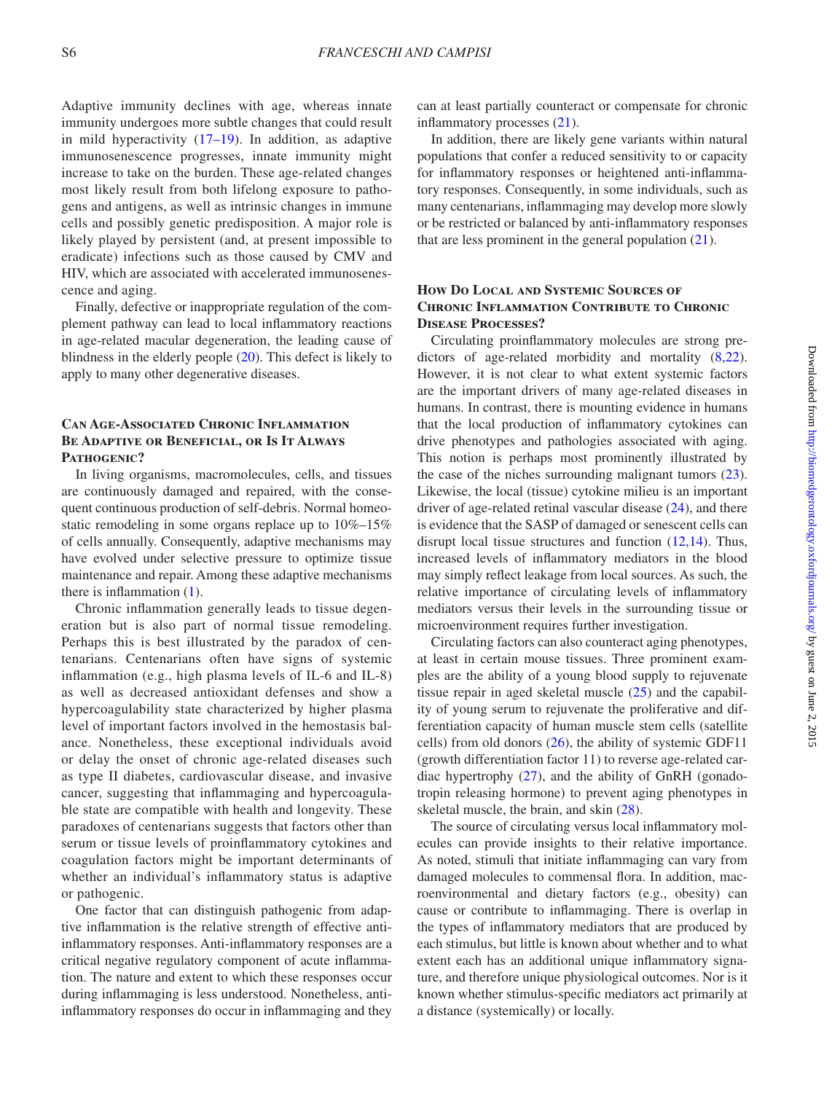Adaptive immunity declines with age, whereas innate immunity undergoes more subtle changes that could result in mild hyperactivity [\(17–19\)](#page-5-7). In addition, as adaptive immunosenescence progresses, innate immunity might increase to take on the burden. These age-related changes most likely result from both lifelong exposure to pathogens and antigens, as well as intrinsic changes in immune cells and possibly genetic predisposition. A major role is likely played by persistent (and, at present impossible to eradicate) infections such as those caused by CMV and HIV, which are associated with accelerated immunosenescence and aging.

Finally, defective or inappropriate regulation of the complement pathway can lead to local inflammatory reactions in age-related macular degeneration, the leading cause of blindness in the elderly people ([20\)](#page-5-8). This defect is likely to apply to many other degenerative diseases.

## **Can Age-Associated Chronic Inflammation Be Adaptive or Beneficial, or Is It Always**  PATHOGENIC?

In living organisms, macromolecules, cells, and tissues are continuously damaged and repaired, with the consequent continuous production of self-debris. Normal homeostatic remodeling in some organs replace up to 10%–15% of cells annually. Consequently, adaptive mechanisms may have evolved under selective pressure to optimize tissue maintenance and repair. Among these adaptive mechanisms there is inflammation ([1\)](#page-4-0).

Chronic inflammation generally leads to tissue degeneration but is also part of normal tissue remodeling. Perhaps this is best illustrated by the paradox of centenarians. Centenarians often have signs of systemic inflammation (e.g., high plasma levels of IL-6 and IL-8) as well as decreased antioxidant defenses and show a hypercoagulability state characterized by higher plasma level of important factors involved in the hemostasis balance. Nonetheless, these exceptional individuals avoid or delay the onset of chronic age-related diseases such as type II diabetes, cardiovascular disease, and invasive cancer, suggesting that inflammaging and hypercoagulable state are compatible with health and longevity. These paradoxes of centenarians suggests that factors other than serum or tissue levels of proinflammatory cytokines and coagulation factors might be important determinants of whether an individual's inflammatory status is adaptive or pathogenic.

One factor that can distinguish pathogenic from adaptive inflammation is the relative strength of effective antiinflammatory responses. Anti-inflammatory responses are a critical negative regulatory component of acute inflammation. The nature and extent to which these responses occur during inflammaging is less understood. Nonetheless, antiinflammatory responses do occur in inflammaging and they

can at least partially counteract or compensate for chronic inflammatory processes [\(21](#page-5-9)).

In addition, there are likely gene variants within natural populations that confer a reduced sensitivity to or capacity for inflammatory responses or heightened anti-inflammatory responses. Consequently, in some individuals, such as many centenarians, inflammaging may develop more slowly or be restricted or balanced by anti-inflammatory responses that are less prominent in the general population [\(21](#page-5-9)).

## **How Do Local and Systemic Sources of Chronic Inflammation Contribute to Chronic Disease Processes?**

Circulating proinflammatory molecules are strong predictors of age-related morbidity and mortality ([8](#page-4-7)[,22](#page-5-10)). However, it is not clear to what extent systemic factors are the important drivers of many age-related diseases in humans. In contrast, there is mounting evidence in humans that the local production of inflammatory cytokines can drive phenotypes and pathologies associated with aging. This notion is perhaps most prominently illustrated by the case of the niches surrounding malignant tumors [\(23](#page-5-11)). Likewise, the local (tissue) cytokine milieu is an important driver of age-related retinal vascular disease [\(24](#page-5-12)), and there is evidence that the SASP of damaged or senescent cells can disrupt local tissue structures and function ([12](#page-5-2)[,14](#page-5-4)). Thus, increased levels of inflammatory mediators in the blood may simply reflect leakage from local sources. As such, the relative importance of circulating levels of inflammatory mediators versus their levels in the surrounding tissue or microenvironment requires further investigation.

Circulating factors can also counteract aging phenotypes, at least in certain mouse tissues. Three prominent examples are the ability of a young blood supply to rejuvenate tissue repair in aged skeletal muscle [\(25](#page-5-13)) and the capability of young serum to rejuvenate the proliferative and differentiation capacity of human muscle stem cells (satellite cells) from old donors [\(26](#page-5-14)), the ability of systemic GDF11 (growth differentiation factor 11) to reverse age-related cardiac hypertrophy ([27\)](#page-5-15), and the ability of GnRH (gonadotropin releasing hormone) to prevent aging phenotypes in skeletal muscle, the brain, and skin ([28\)](#page-5-16).

The source of circulating versus local inflammatory molecules can provide insights to their relative importance. As noted, stimuli that initiate inflammaging can vary from damaged molecules to commensal flora. In addition, macroenvironmental and dietary factors (e.g., obesity) can cause or contribute to inflammaging. There is overlap in the types of inflammatory mediators that are produced by each stimulus, but little is known about whether and to what extent each has an additional unique inflammatory signature, and therefore unique physiological outcomes. Nor is it known whether stimulus-specific mediators act primarily at a distance (systemically) or locally.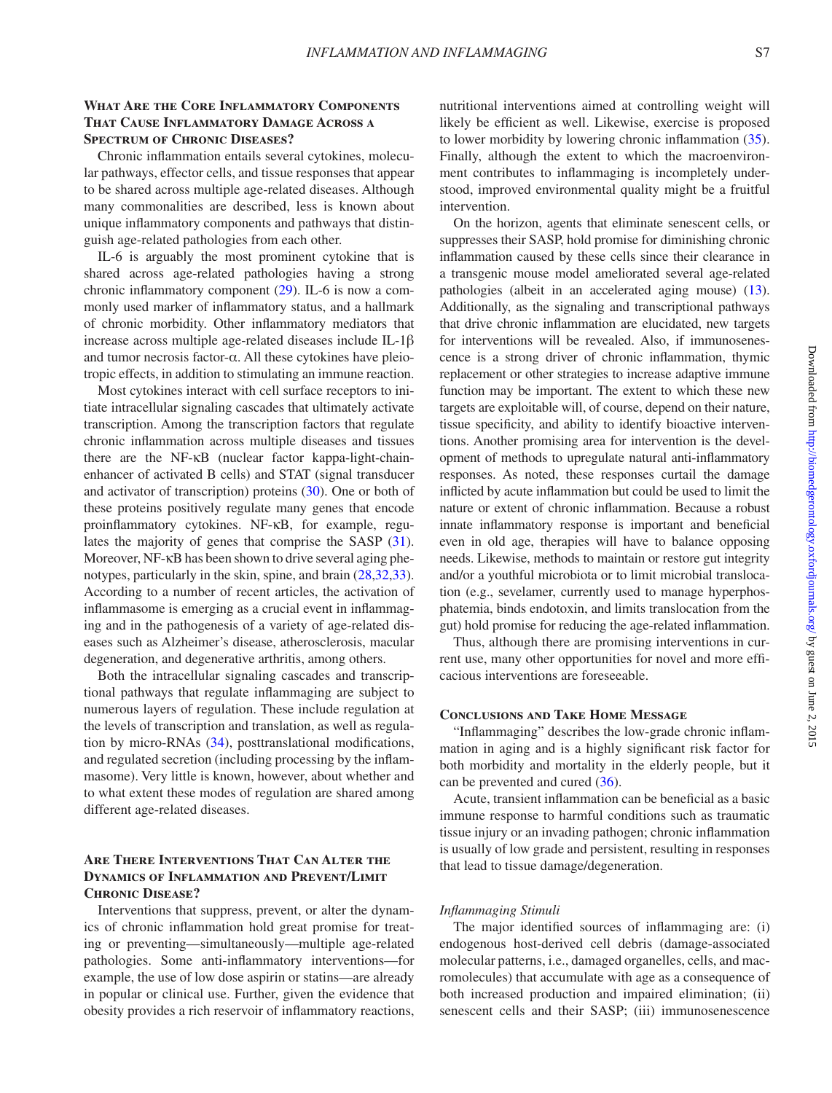## **What Are the Core Inflammatory Components That Cause Inflammatory Damage Across a SPECTRUM OF CHRONIC DISEASES?**

Chronic inflammation entails several cytokines, molecular pathways, effector cells, and tissue responses that appear to be shared across multiple age-related diseases. Although many commonalities are described, less is known about unique inflammatory components and pathways that distinguish age-related pathologies from each other.

IL-6 is arguably the most prominent cytokine that is shared across age-related pathologies having a strong chronic inflammatory component ([29](#page-5-17)). IL-6 is now a commonly used marker of inflammatory status, and a hallmark of chronic morbidity. Other inflammatory mediators that increase across multiple age-related diseases include IL-1β and tumor necrosis factor- $\alpha$ . All these cytokines have pleiotropic effects, in addition to stimulating an immune reaction.

Most cytokines interact with cell surface receptors to initiate intracellular signaling cascades that ultimately activate transcription. Among the transcription factors that regulate chronic inflammation across multiple diseases and tissues there are the NF-κB (nuclear factor kappa-light-chainenhancer of activated B cells) and STAT (signal transducer and activator of transcription) proteins [\(30\)](#page-5-18). One or both of these proteins positively regulate many genes that encode proinflammatory cytokines. NF-κB, for example, regulates the majority of genes that comprise the SASP [\(31\)](#page-5-19). Moreover, NF-κB has been shown to drive several aging phenotypes, particularly in the skin, spine, and brain [\(28](#page-5-16),[32,](#page-5-20)[33\)](#page-5-21). According to a number of recent articles, the activation of inflammasome is emerging as a crucial event in inflammaging and in the pathogenesis of a variety of age-related diseases such as Alzheimer's disease, atherosclerosis, macular degeneration, and degenerative arthritis, among others.

Both the intracellular signaling cascades and transcriptional pathways that regulate inflammaging are subject to numerous layers of regulation. These include regulation at the levels of transcription and translation, as well as regulation by micro-RNAs ([34\)](#page-5-22), posttranslational modifications, and regulated secretion (including processing by the inflammasome). Very little is known, however, about whether and to what extent these modes of regulation are shared among different age-related diseases.

## **Are There Interventions That Can Alter the Dynamics of Inflammation and Prevent/Limit Chronic Disease?**

Interventions that suppress, prevent, or alter the dynamics of chronic inflammation hold great promise for treating or preventing—simultaneously—multiple age-related pathologies. Some anti-inflammatory interventions—for example, the use of low dose aspirin or statins—are already in popular or clinical use. Further, given the evidence that obesity provides a rich reservoir of inflammatory reactions, nutritional interventions aimed at controlling weight will likely be efficient as well. Likewise, exercise is proposed to lower morbidity by lowering chronic inflammation [\(35](#page-5-23)). Finally, although the extent to which the macroenvironment contributes to inflammaging is incompletely understood, improved environmental quality might be a fruitful intervention.

On the horizon, agents that eliminate senescent cells, or suppresses their SASP, hold promise for diminishing chronic inflammation caused by these cells since their clearance in a transgenic mouse model ameliorated several age-related pathologies (albeit in an accelerated aging mouse) ([13\)](#page-5-3). Additionally, as the signaling and transcriptional pathways that drive chronic inflammation are elucidated, new targets for interventions will be revealed. Also, if immunosenescence is a strong driver of chronic inflammation, thymic replacement or other strategies to increase adaptive immune function may be important. The extent to which these new targets are exploitable will, of course, depend on their nature, tissue specificity, and ability to identify bioactive interventions. Another promising area for intervention is the development of methods to upregulate natural anti-inflammatory responses. As noted, these responses curtail the damage inflicted by acute inflammation but could be used to limit the nature or extent of chronic inflammation. Because a robust innate inflammatory response is important and beneficial even in old age, therapies will have to balance opposing needs. Likewise, methods to maintain or restore gut integrity and/or a youthful microbiota or to limit microbial translocation (e.g., sevelamer, currently used to manage hyperphosphatemia, binds endotoxin, and limits translocation from the gut) hold promise for reducing the age-related inflammation.

Thus, although there are promising interventions in current use, many other opportunities for novel and more efficacious interventions are foreseeable.

## **Conclusions and Take Home Message**

"Inflammaging" describes the low-grade chronic inflammation in aging and is a highly significant risk factor for both morbidity and mortality in the elderly people, but it can be prevented and cured [\(36](#page-5-24)).

Acute, transient inflammation can be beneficial as a basic immune response to harmful conditions such as traumatic tissue injury or an invading pathogen; chronic inflammation is usually of low grade and persistent, resulting in responses that lead to tissue damage/degeneration.

#### *Inflammaging Stimuli*

The major identified sources of inflammaging are: (i) endogenous host-derived cell debris (damage-associated molecular patterns, i.e., damaged organelles, cells, and macromolecules) that accumulate with age as a consequence of both increased production and impaired elimination; (ii) senescent cells and their SASP; (iii) immunosenescence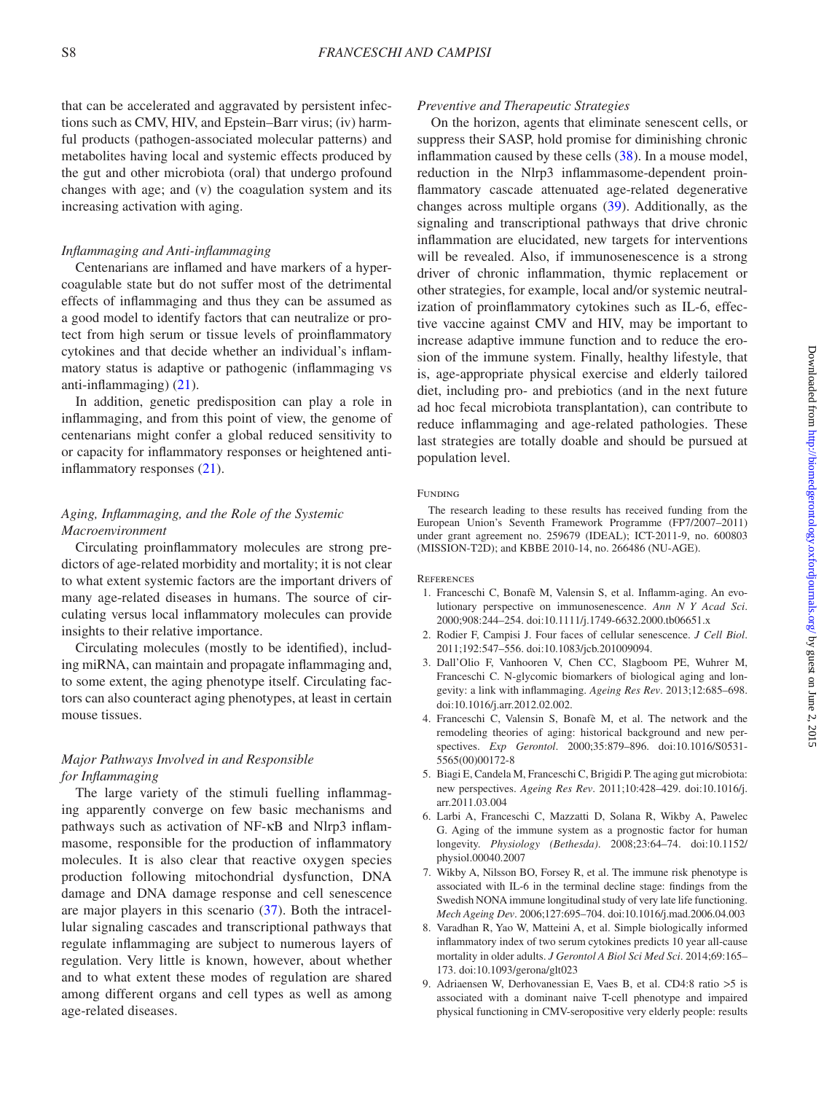that can be accelerated and aggravated by persistent infections such as CMV, HIV, and Epstein–Barr virus; (iv) harmful products (pathogen-associated molecular patterns) and metabolites having local and systemic effects produced by the gut and other microbiota (oral) that undergo profound changes with age; and (v) the coagulation system and its increasing activation with aging.

#### *Inflammaging and Anti-inflammaging*

Centenarians are inflamed and have markers of a hypercoagulable state but do not suffer most of the detrimental effects of inflammaging and thus they can be assumed as a good model to identify factors that can neutralize or protect from high serum or tissue levels of proinflammatory cytokines and that decide whether an individual's inflammatory status is adaptive or pathogenic (inflammaging vs anti-inflammaging) ([21\)](#page-5-9).

In addition, genetic predisposition can play a role in inflammaging, and from this point of view, the genome of centenarians might confer a global reduced sensitivity to or capacity for inflammatory responses or heightened antiinflammatory responses ([21](#page-5-9)).

## *Aging, Inflammaging, and the Role of the Systemic Macroenvironment*

Circulating proinflammatory molecules are strong predictors of age-related morbidity and mortality; it is not clear to what extent systemic factors are the important drivers of many age-related diseases in humans. The source of circulating versus local inflammatory molecules can provide insights to their relative importance.

Circulating molecules (mostly to be identified), including miRNA, can maintain and propagate inflammaging and, to some extent, the aging phenotype itself. Circulating factors can also counteract aging phenotypes, at least in certain mouse tissues.

## *Major Pathways Involved in and Responsible for Inflammaging*

The large variety of the stimuli fuelling inflammaging apparently converge on few basic mechanisms and pathways such as activation of NF-κB and Nlrp3 inflammasome, responsible for the production of inflammatory molecules. It is also clear that reactive oxygen species production following mitochondrial dysfunction, DNA damage and DNA damage response and cell senescence are major players in this scenario ([37\)](#page-5-25). Both the intracellular signaling cascades and transcriptional pathways that regulate inflammaging are subject to numerous layers of regulation. Very little is known, however, about whether and to what extent these modes of regulation are shared among different organs and cell types as well as among age-related diseases.

### *Preventive and Therapeutic Strategies*

On the horizon, agents that eliminate senescent cells, or suppress their SASP, hold promise for diminishing chronic inflammation caused by these cells [\(38](#page-5-26)). In a mouse model, reduction in the Nlrp3 inflammasome-dependent proinflammatory cascade attenuated age-related degenerative changes across multiple organs ([39\)](#page-5-27). Additionally, as the signaling and transcriptional pathways that drive chronic inflammation are elucidated, new targets for interventions will be revealed. Also, if immunosenescence is a strong driver of chronic inflammation, thymic replacement or other strategies, for example, local and/or systemic neutralization of proinflammatory cytokines such as IL-6, effective vaccine against CMV and HIV, may be important to increase adaptive immune function and to reduce the erosion of the immune system. Finally, healthy lifestyle, that is, age-appropriate physical exercise and elderly tailored diet, including pro- and prebiotics (and in the next future ad hoc fecal microbiota transplantation), can contribute to reduce inflammaging and age-related pathologies. These last strategies are totally doable and should be pursued at population level.

#### Funding

The research leading to these results has received funding from the European Union's Seventh Framework Programme (FP7/2007–2011) under grant agreement no. 259679 (IDEAL); ICT-2011-9, no. 600803 (MISSION-T2D); and KBBE 2010-14, no. 266486 (NU-AGE).

#### **REFERENCES**

- <span id="page-4-0"></span>1. Franceschi C, Bonafè M, Valensin S, et al. Inflamm-aging. An evolutionary perspective on immunosenescence. *Ann N Y Acad Sci*. 2000;908:244–254. doi:10.1111/j.1749-6632.2000.tb06651.x
- <span id="page-4-1"></span>2. Rodier F, Campisi J. Four faces of cellular senescence. *J Cell Biol*. 2011;192:547–556. doi:10.1083/jcb.201009094.
- <span id="page-4-2"></span>3. Dall'Olio F, Vanhooren V, Chen CC, Slagboom PE, Wuhrer M, Franceschi C. N-glycomic biomarkers of biological aging and longevity: a link with inflammaging. *Ageing Res Rev*. 2013;12:685–698. doi:10.1016/j.arr.2012.02.002.
- <span id="page-4-3"></span>4. Franceschi C, Valensin S, Bonafè M, et al. The network and the remodeling theories of aging: historical background and new perspectives. *Exp Gerontol*. 2000;35:879–896. doi:10.1016/S0531- 5565(00)00172-8
- <span id="page-4-4"></span>5. Biagi E, Candela M, Franceschi C, Brigidi P. The aging gut microbiota: new perspectives. *Ageing Res Rev*. 2011;10:428–429. doi:10.1016/j. arr.2011.03.004
- <span id="page-4-5"></span>6. Larbi A, Franceschi C, Mazzatti D, Solana R, Wikby A, Pawelec G. Aging of the immune system as a prognostic factor for human longevity. *Physiology (Bethesda)*. 2008;23:64–74. doi:10.1152/ physiol.00040.2007
- <span id="page-4-6"></span>7. Wikby A, Nilsson BO, Forsey R, et al. The immune risk phenotype is associated with IL-6 in the terminal decline stage: findings from the Swedish NONA immune longitudinal study of very late life functioning. *Mech Ageing Dev*. 2006;127:695–704. doi:10.1016/j.mad.2006.04.003
- <span id="page-4-7"></span>8. Varadhan R, Yao W, Matteini A, et al. Simple biologically informed inflammatory index of two serum cytokines predicts 10 year all-cause mortality in older adults. *J Gerontol A Biol Sci Med Sci*. 2014;69:165– 173. doi:10.1093/gerona/glt023
- <span id="page-4-8"></span>9. Adriaensen W, Derhovanessian E, Vaes B, et al. CD4:8 ratio >5 is associated with a dominant naive T-cell phenotype and impaired physical functioning in CMV-seropositive very elderly people: results